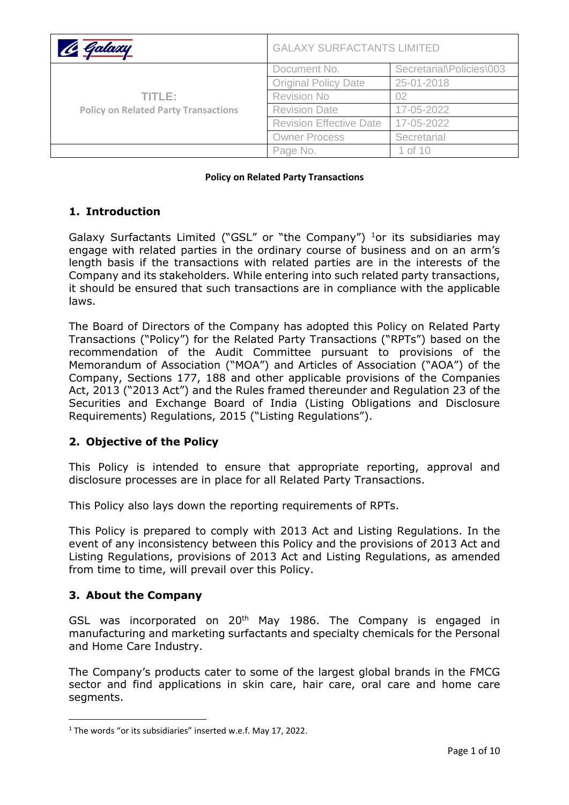| C Galaxy                                              | <b>GALAXY SURFACTANTS LIMITED</b> |                          |
|-------------------------------------------------------|-----------------------------------|--------------------------|
| TITLE:<br><b>Policy on Related Party Transactions</b> | Document No.                      | Secretarial\Policies\003 |
|                                                       | <b>Original Policy Date</b>       | 25-01-2018               |
|                                                       | <b>Revision No</b>                | 02                       |
|                                                       | <b>Revision Date</b>              | 17-05-2022               |
|                                                       | <b>Revision Effective Date</b>    | 17-05-2022               |
|                                                       | <b>Owner Process</b>              | Secretarial              |
|                                                       | Page No.                          | 1 of 10                  |

**Policy on Related Party Transactions**

### **1. Introduction**

Galaxy Surfactants Limited ("GSL" or "the Company") <sup>1</sup>or its subsidiaries may engage with related parties in the ordinary course of business and on an arm's length basis if the transactions with related parties are in the interests of the Company and its stakeholders. While entering into such related party transactions, it should be ensured that such transactions are in compliance with the applicable laws.

The Board of Directors of the Company has adopted this Policy on Related Party Transactions ("Policy") for the Related Party Transactions ("RPTs") based on the recommendation of the Audit Committee pursuant to provisions of the Memorandum of Association ("MOA") and Articles of Association ("AOA") of the Company, Sections 177, 188 and other applicable provisions of the Companies Act, 2013 ("2013 Act") and the Rules framed thereunder and Regulation 23 of the Securities and Exchange Board of India (Listing Obligations and Disclosure Requirements) Regulations, 2015 ("Listing Regulations").

## **2. Objective of the Policy**

This Policy is intended to ensure that appropriate reporting, approval and disclosure processes are in place for all Related Party Transactions.

This Policy also lays down the reporting requirements of RPTs.

This Policy is prepared to comply with 2013 Act and Listing Regulations. In the event of any inconsistency between this Policy and the provisions of 2013 Act and Listing Regulations, provisions of 2013 Act and Listing Regulations, as amended from time to time, will prevail over this Policy.

#### **3. About the Company**

GSL was incorporated on 20<sup>th</sup> May 1986. The Company is engaged in manufacturing and marketing surfactants and specialty chemicals for the Personal and Home Care Industry.

The Company's products cater to some of the largest global brands in the FMCG sector and find applications in skin care, hair care, oral care and home care segments.

<sup>&</sup>lt;sup>1</sup> The words "or its subsidiaries" inserted w.e.f. May 17, 2022.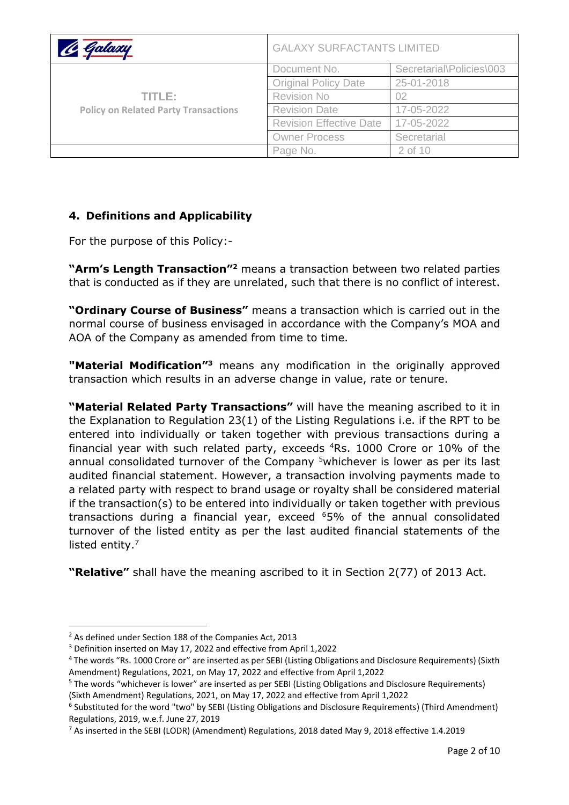| <u>le Galaxy</u>                                      | <b>GALAXY SURFACTANTS LIMITED</b> |                          |
|-------------------------------------------------------|-----------------------------------|--------------------------|
| TITLE:<br><b>Policy on Related Party Transactions</b> | Document No.                      | Secretarial\Policies\003 |
|                                                       | <b>Original Policy Date</b>       | 25-01-2018               |
|                                                       | <b>Revision No</b>                | 02                       |
|                                                       | <b>Revision Date</b>              | 17-05-2022               |
|                                                       | <b>Revision Effective Date</b>    | 17-05-2022               |
|                                                       | <b>Owner Process</b>              | Secretarial              |
|                                                       | Page No.                          | 2 of 10                  |

# **4. Definitions and Applicability**

For the purpose of this Policy:-

**"Arm's Length Transaction"<sup>2</sup>** means a transaction between two related parties that is conducted as if they are unrelated, such that there is no conflict of interest.

**"Ordinary Course of Business"** means a transaction which is carried out in the normal course of business envisaged in accordance with the Company's MOA and AOA of the Company as amended from time to time.

**"Material Modification"<sup>3</sup>** means any modification in the originally approved transaction which results in an adverse change in value, rate or tenure.

**"Material Related Party Transactions"** will have the meaning ascribed to it in the Explanation to Regulation 23(1) of the Listing Regulations i.e. if the RPT to be entered into individually or taken together with previous transactions during a financial year with such related party, exceeds <sup>4</sup>Rs. 1000 Crore or 10% of the annual consolidated turnover of the Company <sup>5</sup>whichever is lower as per its last audited financial statement. However, a transaction involving payments made to a related party with respect to brand usage or royalty shall be considered material if the transaction(s) to be entered into individually or taken together with previous transactions during a financial year, exceed <sup>6</sup>5% of the annual consolidated turnover of the listed entity as per the last audited financial statements of the listed entity.<sup>7</sup>

**"Relative"** shall have the meaning ascribed to it in Section 2(77) of 2013 Act.

<sup>2</sup> As defined under Section 188 of the Companies Act, 2013

<sup>3</sup> Definition inserted on May 17, 2022 and effective from April 1,2022

<sup>4</sup> The words "Rs. 1000 Crore or" are inserted as per SEBI (Listing Obligations and Disclosure Requirements) (Sixth Amendment) Regulations, 2021, on May 17, 2022 and effective from April 1,2022

<sup>5</sup> The words "whichever is lower" are inserted as per SEBI (Listing Obligations and Disclosure Requirements) (Sixth Amendment) Regulations, 2021, on May 17, 2022 and effective from April 1,2022

<sup>6</sup> Substituted for the word "two" by SEBI (Listing Obligations and Disclosure Requirements) (Third Amendment) Regulations, 2019, w.e.f. June 27, 2019

<sup>7</sup> As inserted in the SEBI (LODR) (Amendment) Regulations, 2018 dated May 9, 2018 effective 1.4.2019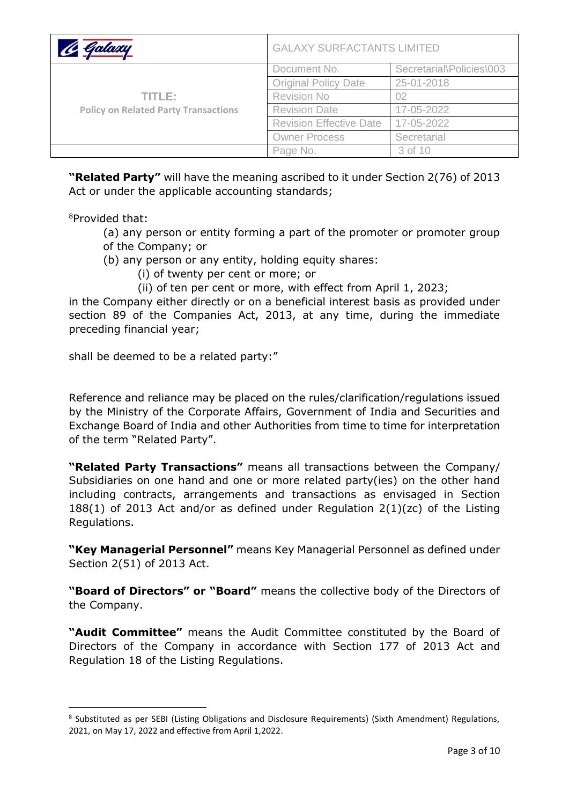| Galaxu                                                | <b>GALAXY SURFACTANTS LIMITED</b> |                          |
|-------------------------------------------------------|-----------------------------------|--------------------------|
| TITLE:<br><b>Policy on Related Party Transactions</b> | Document No.                      | Secretarial\Policies\003 |
|                                                       | <b>Original Policy Date</b>       | 25-01-2018               |
|                                                       | <b>Revision No</b>                | 02                       |
|                                                       | <b>Revision Date</b>              | 17-05-2022               |
|                                                       | <b>Revision Effective Date</b>    | 17-05-2022               |
|                                                       | <b>Owner Process</b>              | Secretarial              |
|                                                       | Page No.                          | 3 of 10                  |

**"Related Party"** will have the meaning ascribed to it under Section 2(76) of 2013 Act or under the applicable accounting standards;

<sup>8</sup>Provided that:

- (a) any person or entity forming a part of the promoter or promoter group of the Company; or
- (b) any person or any entity, holding equity shares:
	- (i) of twenty per cent or more; or
	- (ii) of ten per cent or more, with effect from April 1, 2023;

in the Company either directly or on a beneficial interest basis as provided under section 89 of the Companies Act, 2013, at any time, during the immediate preceding financial year;

shall be deemed to be a related party:"

Reference and reliance may be placed on the rules/clarification/regulations issued by the Ministry of the Corporate Affairs, Government of India and Securities and Exchange Board of India and other Authorities from time to time for interpretation of the term "Related Party".

**"Related Party Transactions"** means all transactions between the Company/ Subsidiaries on one hand and one or more related party(ies) on the other hand including contracts, arrangements and transactions as envisaged in Section 188(1) of 2013 Act and/or as defined under Regulation 2(1)(zc) of the Listing Regulations.

**"Key Managerial Personnel"** means Key Managerial Personnel as defined under Section 2(51) of 2013 Act.

**"Board of Directors" or "Board"** means the collective body of the Directors of the Company.

**"Audit Committee"** means the Audit Committee constituted by the Board of Directors of the Company in accordance with Section 177 of 2013 Act and Regulation 18 of the Listing Regulations.

<sup>&</sup>lt;sup>8</sup> Substituted as per SEBI (Listing Obligations and Disclosure Requirements) (Sixth Amendment) Regulations, 2021, on May 17, 2022 and effective from April 1,2022.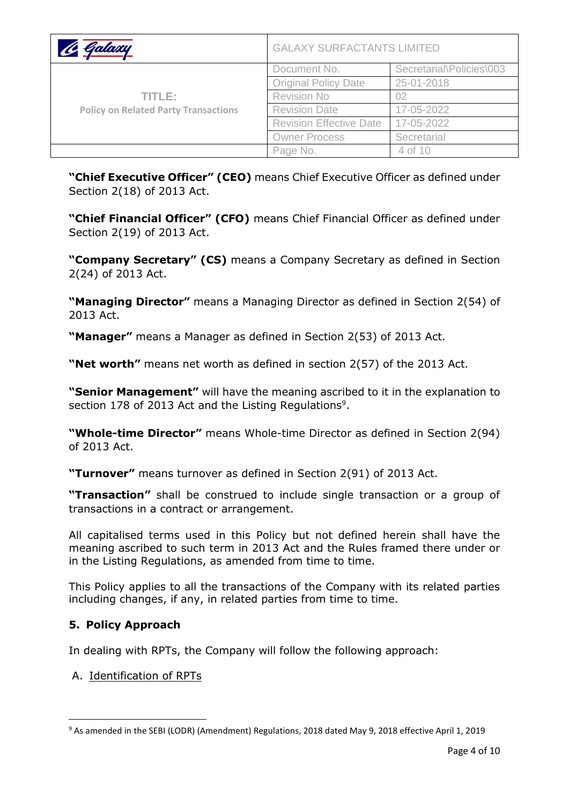| Galaxu                                                | <b>GALAXY SURFACTANTS LIMITED</b> |                          |
|-------------------------------------------------------|-----------------------------------|--------------------------|
| TITLE:<br><b>Policy on Related Party Transactions</b> | Document No.                      | Secretarial\Policies\003 |
|                                                       | <b>Original Policy Date</b>       | 25-01-2018               |
|                                                       | <b>Revision No</b>                | 02                       |
|                                                       | <b>Revision Date</b>              | 17-05-2022               |
|                                                       | <b>Revision Effective Date</b>    | 17-05-2022               |
|                                                       | <b>Owner Process</b>              | Secretarial              |
|                                                       | Page No.                          | 4 of 10                  |

**"Chief Executive Officer" (CEO)** means Chief Executive Officer as defined under Section 2(18) of 2013 Act.

**"Chief Financial Officer" (CFO)** means Chief Financial Officer as defined under Section 2(19) of 2013 Act.

**"Company Secretary" (CS)** means a Company Secretary as defined in Section 2(24) of 2013 Act.

**"Managing Director"** means a Managing Director as defined in Section 2(54) of 2013 Act.

**"Manager"** means a Manager as defined in Section 2(53) of 2013 Act.

**"Net worth"** means net worth as defined in section 2(57) of the 2013 Act.

**"Senior Management"** will have the meaning ascribed to it in the explanation to section 178 of 2013 Act and the Listing Regulations<sup>9</sup>.

**"Whole-time Director"** means Whole-time Director as defined in Section 2(94) of 2013 Act.

**"Turnover"** means turnover as defined in Section 2(91) of 2013 Act.

**"Transaction"** shall be construed to include single transaction or a group of transactions in a contract or arrangement.

All capitalised terms used in this Policy but not defined herein shall have the meaning ascribed to such term in 2013 Act and the Rules framed there under or in the Listing Regulations, as amended from time to time.

This Policy applies to all the transactions of the Company with its related parties including changes, if any, in related parties from time to time.

## **5. Policy Approach**

In dealing with RPTs, the Company will follow the following approach:

#### A. Identification of RPTs

<sup>9</sup> As amended in the SEBI (LODR) (Amendment) Regulations, 2018 dated May 9, 2018 effective April 1, 2019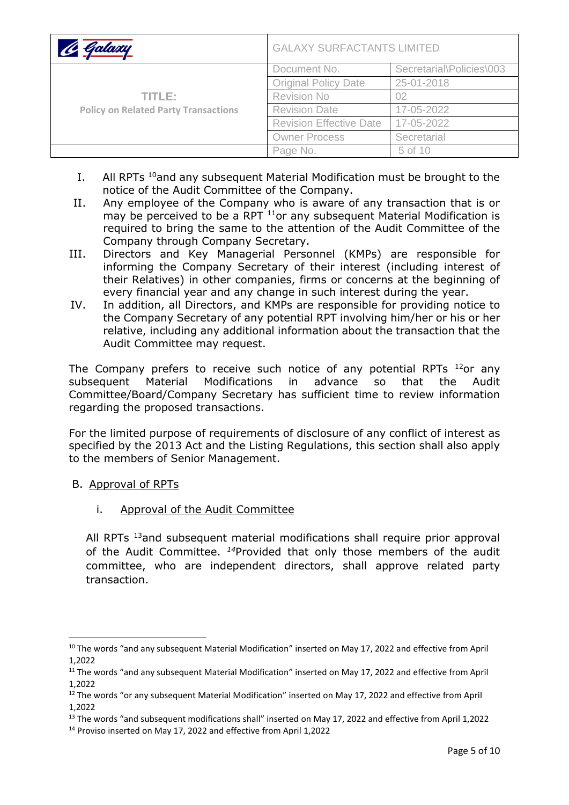| Galaxy                                      | <b>GALAXY SURFACTANTS LIMITED</b> |                          |
|---------------------------------------------|-----------------------------------|--------------------------|
|                                             | Document No.                      | Secretarial\Policies\003 |
|                                             | <b>Original Policy Date</b>       | 25-01-2018               |
| TITLE:                                      | <b>Revision No</b>                | 02                       |
| <b>Policy on Related Party Transactions</b> | <b>Revision Date</b>              | 17-05-2022               |
|                                             | <b>Revision Effective Date</b>    | 17-05-2022               |
|                                             | <b>Owner Process</b>              | Secretarial              |
|                                             | Page No.                          | 5 of 10                  |

- I. All RPTs <sup>10</sup>and any subsequent Material Modification must be brought to the notice of the Audit Committee of the Company.
- II. Any employee of the Company who is aware of any transaction that is or may be perceived to be a RPT <sup>11</sup>or any subsequent Material Modification is required to bring the same to the attention of the Audit Committee of the Company through Company Secretary.
- III. Directors and Key Managerial Personnel (KMPs) are responsible for informing the Company Secretary of their interest (including interest of their Relatives) in other companies, firms or concerns at the beginning of every financial year and any change in such interest during the year.
- IV. In addition, all Directors, and KMPs are responsible for providing notice to the Company Secretary of any potential RPT involving him/her or his or her relative, including any additional information about the transaction that the Audit Committee may request.

The Company prefers to receive such notice of any potential RPTs  $^{12}$ or any subsequent Material Modifications in advance so that the Audit Committee/Board/Company Secretary has sufficient time to review information regarding the proposed transactions.

For the limited purpose of requirements of disclosure of any conflict of interest as specified by the 2013 Act and the Listing Regulations, this section shall also apply to the members of Senior Management.

- B. Approval of RPTs
	- i. Approval of the Audit Committee

All RPTs <sup>13</sup>and subsequent material modifications shall require prior approval of the Audit Committee. *<sup>14</sup>*Provided that only those members of the audit committee, who are independent directors, shall approve related party transaction.

<sup>&</sup>lt;sup>10</sup> The words "and any subsequent Material Modification" inserted on May 17, 2022 and effective from April 1,2022

<sup>&</sup>lt;sup>11</sup> The words "and any subsequent Material Modification" inserted on May 17, 2022 and effective from April 1,2022

<sup>&</sup>lt;sup>12</sup> The words "or any subsequent Material Modification" inserted on May 17, 2022 and effective from April 1,2022

<sup>&</sup>lt;sup>13</sup> The words "and subsequent modifications shall" inserted on May 17, 2022 and effective from April 1,2022

<sup>14</sup> Proviso inserted on May 17, 2022 and effective from April 1,2022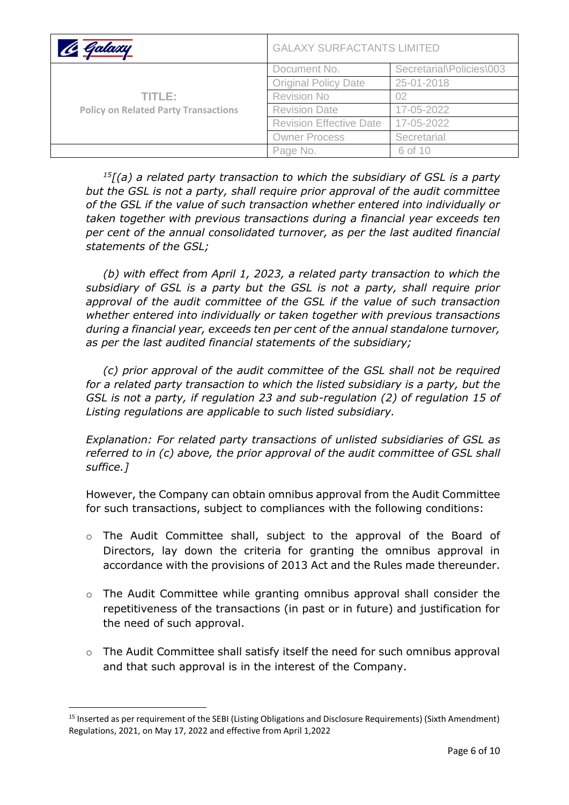| Galaxu                                                | <b>GALAXY SURFACTANTS LIMITED</b> |                          |
|-------------------------------------------------------|-----------------------------------|--------------------------|
| TITLE:<br><b>Policy on Related Party Transactions</b> | Document No.                      | Secretarial\Policies\003 |
|                                                       | <b>Original Policy Date</b>       | 25-01-2018               |
|                                                       | <b>Revision No</b>                | 02                       |
|                                                       | <b>Revision Date</b>              | 17-05-2022               |
|                                                       | <b>Revision Effective Date</b>    | 17-05-2022               |
|                                                       | <b>Owner Process</b>              | Secretarial              |
|                                                       | Page No.                          | 6 of 10                  |

*<sup>15</sup>[(a) a related party transaction to which the subsidiary of GSL is a party but the GSL is not a party, shall require prior approval of the audit committee of the GSL if the value of such transaction whether entered into individually or taken together with previous transactions during a financial year exceeds ten per cent of the annual consolidated turnover, as per the last audited financial statements of the GSL;*

*(b) with effect from April 1, 2023, a related party transaction to which the subsidiary of GSL is a party but the GSL is not a party, shall require prior approval of the audit committee of the GSL if the value of such transaction whether entered into individually or taken together with previous transactions during a financial year, exceeds ten per cent of the annual standalone turnover, as per the last audited financial statements of the subsidiary;*

*(c) prior approval of the audit committee of the GSL shall not be required for a related party transaction to which the listed subsidiary is a party, but the GSL is not a party, if regulation 23 and sub-regulation (2) of regulation 15 of Listing regulations are applicable to such listed subsidiary.* 

*Explanation: For related party transactions of unlisted subsidiaries of GSL as referred to in (c) above, the prior approval of the audit committee of GSL shall suffice.]*

However, the Company can obtain omnibus approval from the Audit Committee for such transactions, subject to compliances with the following conditions:

- o The Audit Committee shall, subject to the approval of the Board of Directors, lay down the criteria for granting the omnibus approval in accordance with the provisions of 2013 Act and the Rules made thereunder.
- o The Audit Committee while granting omnibus approval shall consider the repetitiveness of the transactions (in past or in future) and justification for the need of such approval.
- $\circ$  The Audit Committee shall satisfy itself the need for such omnibus approval and that such approval is in the interest of the Company.

<sup>15</sup> Inserted as per requirement of the SEBI (Listing Obligations and Disclosure Requirements) (Sixth Amendment) Regulations, 2021, on May 17, 2022 and effective from April 1,2022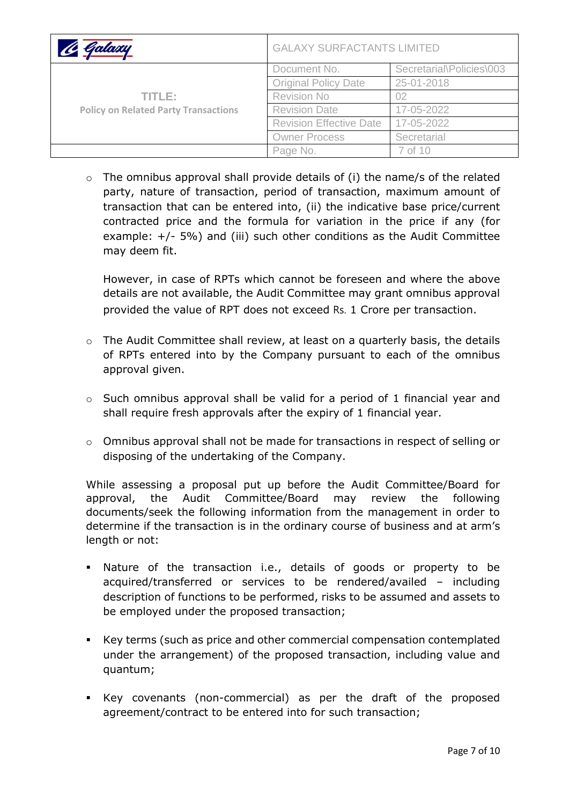| Galamu                                                | <b>GALAXY SURFACTANTS LIMITED</b> |                          |
|-------------------------------------------------------|-----------------------------------|--------------------------|
| TITLE:<br><b>Policy on Related Party Transactions</b> | Document No.                      | Secretarial\Policies\003 |
|                                                       | <b>Original Policy Date</b>       | 25-01-2018               |
|                                                       | <b>Revision No</b>                | 02                       |
|                                                       | <b>Revision Date</b>              | 17-05-2022               |
|                                                       | <b>Revision Effective Date</b>    | 17-05-2022               |
|                                                       | <b>Owner Process</b>              | Secretarial              |
|                                                       | Page No.                          | 7 of 10                  |

o The omnibus approval shall provide details of (i) the name/s of the related party, nature of transaction, period of transaction, maximum amount of transaction that can be entered into, (ii) the indicative base price/current contracted price and the formula for variation in the price if any (for example: +/- 5%) and (iii) such other conditions as the Audit Committee may deem fit.

However, in case of RPTs which cannot be foreseen and where the above details are not available, the Audit Committee may grant omnibus approval provided the value of RPT does not exceed Rs. 1 Crore per transaction.

- $\circ$  The Audit Committee shall review, at least on a quarterly basis, the details of RPTs entered into by the Company pursuant to each of the omnibus approval given.
- o Such omnibus approval shall be valid for a period of 1 financial year and shall require fresh approvals after the expiry of 1 financial year.
- o Omnibus approval shall not be made for transactions in respect of selling or disposing of the undertaking of the Company.

While assessing a proposal put up before the Audit Committee/Board for approval, the Audit Committee/Board may review the following documents/seek the following information from the management in order to determine if the transaction is in the ordinary course of business and at arm's length or not:

- Nature of the transaction i.e., details of goods or property to be acquired/transferred or services to be rendered/availed – including description of functions to be performed, risks to be assumed and assets to be employed under the proposed transaction;
- Key terms (such as price and other commercial compensation contemplated under the arrangement) of the proposed transaction, including value and quantum;
- Key covenants (non-commercial) as per the draft of the proposed agreement/contract to be entered into for such transaction;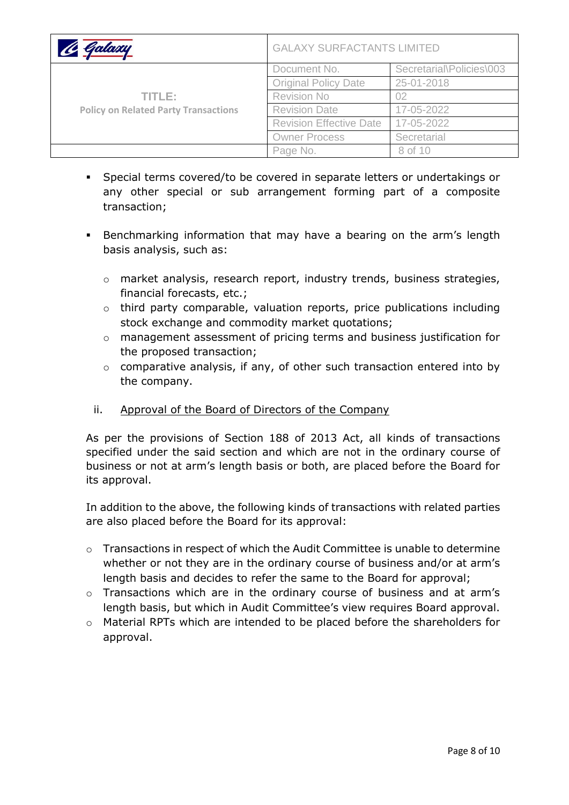| Galaxu                                                | <b>GALAXY SURFACTANTS LIMITED</b> |                          |
|-------------------------------------------------------|-----------------------------------|--------------------------|
| TITLE:<br><b>Policy on Related Party Transactions</b> | Document No.                      | Secretarial\Policies\003 |
|                                                       | <b>Original Policy Date</b>       | 25-01-2018               |
|                                                       | <b>Revision No</b>                | 02                       |
|                                                       | <b>Revision Date</b>              | 17-05-2022               |
|                                                       | <b>Revision Effective Date</b>    | 17-05-2022               |
|                                                       | <b>Owner Process</b>              | Secretarial              |
|                                                       | Page No.                          | 8 of 10                  |

- Special terms covered/to be covered in separate letters or undertakings or any other special or sub arrangement forming part of a composite transaction;
- **EXE** Benchmarking information that may have a bearing on the arm's length basis analysis, such as:
	- o market analysis, research report, industry trends, business strategies, financial forecasts, etc.;
	- o third party comparable, valuation reports, price publications including stock exchange and commodity market quotations;
	- o management assessment of pricing terms and business justification for the proposed transaction;
	- o comparative analysis, if any, of other such transaction entered into by the company.
	- ii. Approval of the Board of Directors of the Company

As per the provisions of Section 188 of 2013 Act, all kinds of transactions specified under the said section and which are not in the ordinary course of business or not at arm's length basis or both, are placed before the Board for its approval.

In addition to the above, the following kinds of transactions with related parties are also placed before the Board for its approval:

- o Transactions in respect of which the Audit Committee is unable to determine whether or not they are in the ordinary course of business and/or at arm's length basis and decides to refer the same to the Board for approval;
- o Transactions which are in the ordinary course of business and at arm's length basis, but which in Audit Committee's view requires Board approval.
- o Material RPTs which are intended to be placed before the shareholders for approval.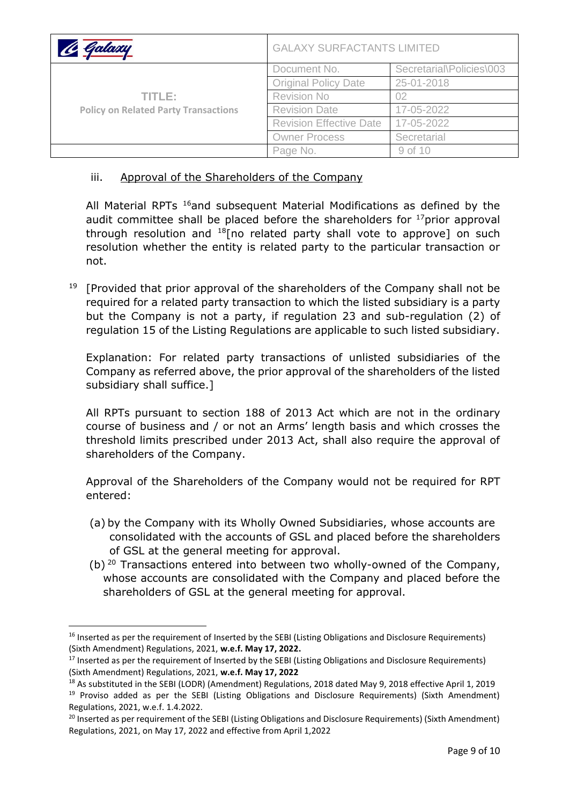| 16 Galaxy                                             | <b>GALAXY SURFACTANTS LIMITED</b> |                          |
|-------------------------------------------------------|-----------------------------------|--------------------------|
| TITLE:<br><b>Policy on Related Party Transactions</b> | Document No.                      | Secretarial\Policies\003 |
|                                                       | <b>Original Policy Date</b>       | 25-01-2018               |
|                                                       | <b>Revision No</b>                | 02                       |
|                                                       | <b>Revision Date</b>              | 17-05-2022               |
|                                                       | <b>Revision Effective Date</b>    | 17-05-2022               |
|                                                       | <b>Owner Process</b>              | Secretarial              |
|                                                       | Page No.                          | 9 of 10                  |

### iii. Approval of the Shareholders of the Company

All Material RPTs <sup>16</sup>and subsequent Material Modifications as defined by the audit committee shall be placed before the shareholders for  $17$ prior approval through resolution and  $^{18}$ [no related party shall vote to approve] on such resolution whether the entity is related party to the particular transaction or not.

<sup>19</sup> [Provided that prior approval of the shareholders of the Company shall not be required for a related party transaction to which the listed subsidiary is a party but the Company is not a party, if regulation 23 and sub-regulation (2) of regulation 15 of the Listing Regulations are applicable to such listed subsidiary.

Explanation: For related party transactions of unlisted subsidiaries of the Company as referred above, the prior approval of the shareholders of the listed subsidiary shall suffice.]

All RPTs pursuant to section 188 of 2013 Act which are not in the ordinary course of business and / or not an Arms' length basis and which crosses the threshold limits prescribed under 2013 Act, shall also require the approval of shareholders of the Company.

Approval of the Shareholders of the Company would not be required for RPT entered:

- (a) by the Company with its Wholly Owned Subsidiaries, whose accounts are consolidated with the accounts of GSL and placed before the shareholders of GSL at the general meeting for approval.
- (b)  $20$  Transactions entered into between two wholly-owned of the Company, whose accounts are consolidated with the Company and placed before the shareholders of GSL at the general meeting for approval.

<sup>&</sup>lt;sup>16</sup> Inserted as per the requirement of Inserted by the SEBI (Listing Obligations and Disclosure Requirements) (Sixth Amendment) Regulations, 2021, **w.e.f. May 17, 2022.**

<sup>&</sup>lt;sup>17</sup> Inserted as per the requirement of Inserted by the SEBI (Listing Obligations and Disclosure Requirements) (Sixth Amendment) Regulations, 2021, **w.e.f. May 17, 2022**

<sup>&</sup>lt;sup>18</sup> As substituted in the SEBI (LODR) (Amendment) Regulations, 2018 dated May 9, 2018 effective April 1, 2019

<sup>&</sup>lt;sup>19</sup> Proviso added as per the SEBI (Listing Obligations and Disclosure Requirements) (Sixth Amendment) Regulations, 2021, w.e.f. 1.4.2022.

<sup>&</sup>lt;sup>20</sup> Inserted as per requirement of the SEBI (Listing Obligations and Disclosure Requirements) (Sixth Amendment) Regulations, 2021, on May 17, 2022 and effective from April 1,2022